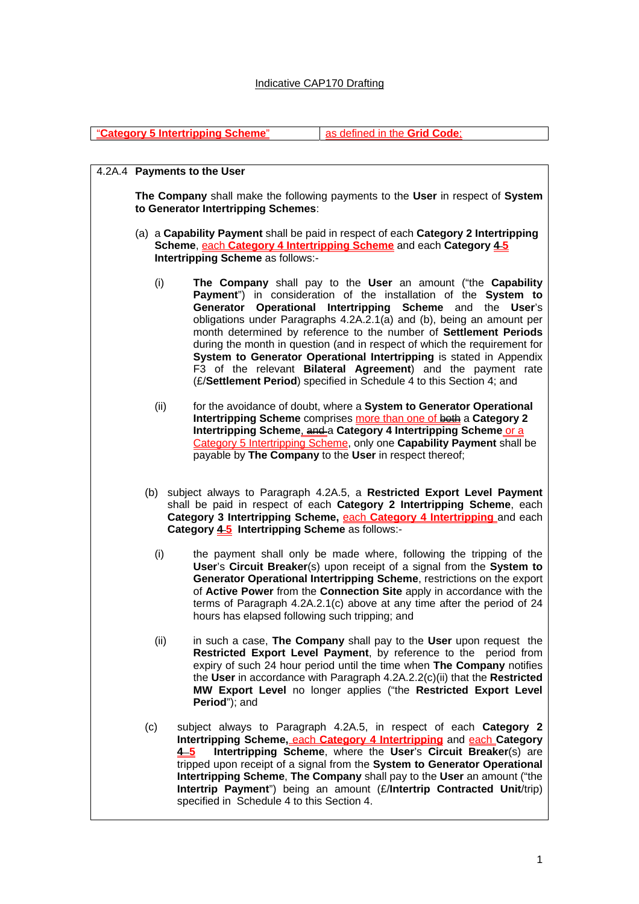## Indicative CAP170 Drafting

"**Category 5 Intertripping Scheme**" as defined in the **Grid Code**;

4.2A.4 **Payments to the User The Company** shall make the following payments to the **User** in respect of **System to Generator Intertripping Schemes**: (a) a **Capability Payment** shall be paid in respect of each **Category 2 Intertripping Scheme**, each **Category 4 Intertripping Scheme** and each **Category 4 5 Intertripping Scheme** as follows:- (i) **The Company** shall pay to the **User** an amount ("the **Capability Payment**") in consideration of the installation of the **System to Generator Operational Intertripping Scheme** and the **User**'s obligations under Paragraphs 4.2A.2.1(a) and (b), being an amount per month determined by reference to the number of **Settlement Periods** during the month in question (and in respect of which the requirement for **System to Generator Operational Intertripping** is stated in Appendix F3 of the relevant **Bilateral Agreement**) and the payment rate (£/**Settlement Period**) specified in Schedule 4 to this Section 4; and (ii) for the avoidance of doubt, where a **System to Generator Operational Intertripping Scheme** comprises more than one of both a Category 2 **Intertripping Scheme, and a Category 4 Intertripping Scheme or a** Category 5 Intertripping Scheme, only one **Capability Payment** shall be payable by **The Company** to the **User** in respect thereof; (b) subject always to Paragraph 4.2A.5, a **Restricted Export Level Payment**  shall be paid in respect of each **Category 2 Intertripping Scheme**, each **Category 3 Intertripping Scheme,** each **Category 4 Intertripping** and each Category 45 Intertripping Scheme as follows:-(i) the payment shall only be made where, following the tripping of the **User**'s **Circuit Breaker**(s) upon receipt of a signal from the **System to Generator Operational Intertripping Scheme**, restrictions on the export of **Active Power** from the **Connection Site** apply in accordance with the terms of Paragraph 4.2A.2.1(c) above at any time after the period of 24 hours has elapsed following such tripping; and (ii) in such a case, **The Company** shall pay to the **User** upon request the **Restricted Export Level Payment**, by reference to the period from expiry of such 24 hour period until the time when **The Company** notifies the **User** in accordance with Paragraph 4.2A.2.2(c)(ii) that the **Restricted MW Export Level** no longer applies ("the **Restricted Export Level Period**"); and (c) subject always to Paragraph 4.2A.5, in respect of each **Category 2 Intertripping Scheme, each Category 4 Intertripping** and **each Category 4 5** Intertripping Scheme, where the User's Circuit Breaker(s) are **4 5 Intertripping Scheme**, where the **User**'s **Circuit Breaker**(s) are tripped upon receipt of a signal from the **System to Generator Operational Intertripping Scheme**, **The Company** shall pay to the **User** an amount ("the **Intertrip Payment**") being an amount (£/**Intertrip Contracted Unit**/trip) specified in Schedule 4 to this Section 4.